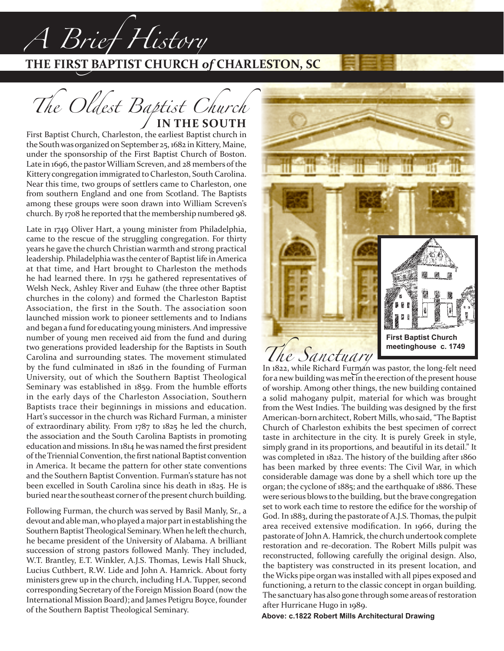## **THE FIRST BAPTIST CHURCH** *of* **CHARLESTON, SC**

*The Oldest Baptist Church* **IN THE SOUTH**

*A Brief History*

First Baptist Church, Charleston, the earliest Baptist church in the South was organized on September 25, 1682 in Kittery, Maine, under the sponsorship of the First Baptist Church of Boston. Late in 1696, the pastor William Screven, and 28 members of the Kittery congregation immigrated to Charleston, South Carolina. Near this time, two groups of settlers came to Charleston, one from southern England and one from Scotland. The Baptists among these groups were soon drawn into William Screven's church. By 1708 he reported that the membership numbered 98.

Late in 1749 Oliver Hart, a young minister from Philadelphia, came to the rescue of the struggling congregation. For thirty years he gave the church Christian warmth and strong practical leadership. Philadelphia was the center of Baptist life in America at that time, and Hart brought to Charleston the methods he had learned there. In 1751 he gathered representatives of Welsh Neck, Ashley River and Euhaw (the three other Baptist churches in the colony) and formed the Charleston Baptist Association, the first in the South. The association soon launched mission work to pioneer settlements and to Indians and began a fund for educating young ministers. And impressive number of young men received aid from the fund and during two generations provided leadership for the Baptists in South Carolina and surrounding states. The movement stimulated by the fund culminated in 1826 in the founding of Furman University, out of which the Southern Baptist Theological Seminary was established in 1859. From the humble efforts in the early days of the Charleston Association, Southern Baptists trace their beginnings in missions and education. Hart's successor in the church was Richard Furman, a minister of extraordinary ability. From 1787 to 1825 he led the church, the association and the South Carolina Baptists in promoting education and missions. In 1814 he was named the first president of the Triennial Convention, the first national Baptist convention in America. It became the pattern for other state conventions and the Southern Baptist Convention. Furman's stature has not been excelled in South Carolina since his death in 1825. He is buried near the southeast corner of the present church building.

Following Furman, the church was served by Basil Manly, Sr., a devout and able man, who played a major part in establishing the Southern Baptist Theological Seminary. When he left the church, he became president of the University of Alabama. A brilliant succession of strong pastors followed Manly. They included, W.T. Brantley, E.T. Winkler, A.J.S. Thomas, Lewis Hall Shuck, Lucius Cuthbert, R.W. Lide and John A. Hamrick. About forty ministers grew up in the church, including H.A. Tupper, second corresponding Secretary of the Foreign Mission Board (now the International Mission Board); and James Petigru Boyce, founder of the Southern Baptist Theological Seminary.



for a new building was met in the erection of the present house of worship. Among other things, the new building contained a solid mahogany pulpit, material for which was brought from the West Indies. The building was designed by the first American-born architect, Robert Mills, who said, "The Baptist Church of Charleston exhibits the best specimen of correct taste in architecture in the city. It is purely Greek in style, simply grand in its proportions, and beautiful in its detail." It was completed in 1822. The history of the building after 1860 has been marked by three events: The Civil War, in which considerable damage was done by a shell which tore up the organ; the cyclone of 1885; and the earthquake of 1886. These were serious blows to the building, but the brave congregation set to work each time to restore the edifice for the worship of God. In 1883, during the pastorate of A.J.S. Thomas, the pulpit area received extensive modification. In 1966, during the pastorate of John A. Hamrick, the church undertook complete restoration and re-decoration. The Robert Mills pulpit was reconstructed, following carefully the original design. Also, the baptistery was constructed in its present location, and the Wicks pipe organ was installed with all pipes exposed and functioning, a return to the classic concept in organ building. The sanctuary has also gone through some areas of restoration after Hurricane Hugo in 1989.

**Above: c.1822 Robert Mills Architectural Drawing**